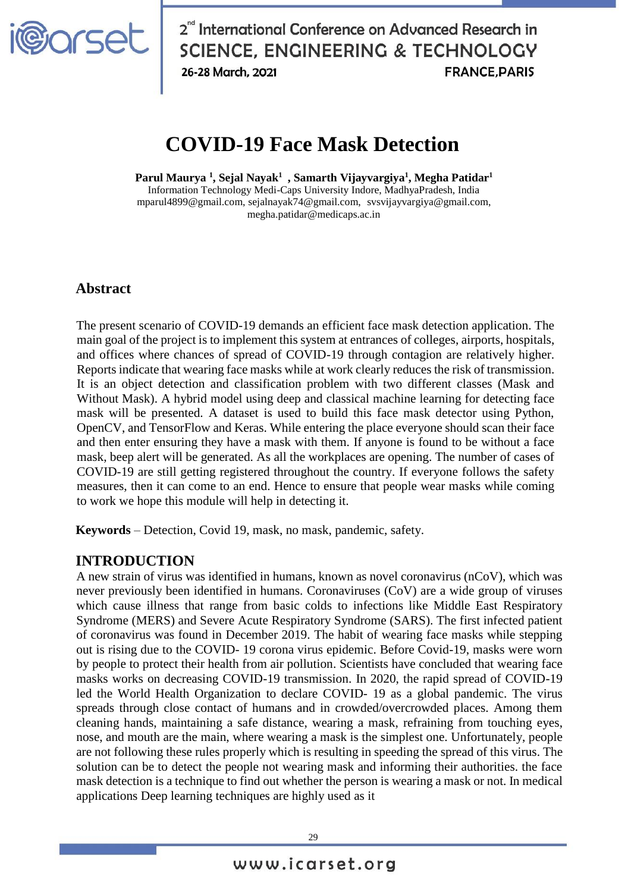

2<sup>nd</sup> International Conference on Advanced Research in **SCIENCE, ENGINEERING & TECHNOLOGY** 26-28 March, 2021 **FRANCE PARIS** 

# **COVID-19 Face Mask Detection**

**Parul Maurya <sup>1</sup> , Sejal Nayak<sup>1</sup> , Samarth Vijayvargiya<sup>1</sup> , Megha Patidar<sup>1</sup>** Information Technology Medi-Caps University Indore, MadhyaPradesh, India [mparul4899@gmail.com,](mailto:mparul4899@gmail.com) sejalnayak74@gmail.com, [svsvijayvargiya@gmail.com,](mailto:svsvijayvargiya@gmail.com) megha.patidar@medicaps.ac.in

## **Abstract**

The present scenario of COVID-19 demands an efficient face mask detection application. The main goal of the project is to implement this system at entrances of colleges, airports, hospitals, and offices where chances of spread of COVID-19 through contagion are relatively higher. Reports indicate that wearing face masks while at work clearly reduces the risk of transmission. It is an object detection and classification problem with two different classes (Mask and Without Mask). A hybrid model using deep and classical machine learning for detecting face mask will be presented. A dataset is used to build this face mask detector using Python, OpenCV, and TensorFlow and Keras. While entering the place everyone should scan their face and then enter ensuring they have a mask with them. If anyone is found to be without a face mask, beep alert will be generated. As all the workplaces are opening. The number of cases of COVID-19 are still getting registered throughout the country. If everyone follows the safety measures, then it can come to an end. Hence to ensure that people wear masks while coming to work we hope this module will help in detecting it.

**Keywords** – Detection, Covid 19, mask, no mask, pandemic, safety.

#### **INTRODUCTION**

A new strain of virus was identified in humans, known as novel coronavirus (nCoV), which was never previously been identified in humans. Coronaviruses (CoV) are a wide group of viruses which cause illness that range from basic colds to infections like Middle East Respiratory Syndrome (MERS) and Severe Acute Respiratory Syndrome (SARS). The first infected patient of coronavirus was found in December 2019. The habit of wearing face masks while stepping out is rising due to the COVID- 19 corona virus epidemic. Before Covid-19, masks were worn by people to protect their health from air pollution. Scientists have concluded that wearing face masks works on decreasing COVID-19 transmission. In 2020, the rapid spread of COVID-19 led the World Health Organization to declare COVID- 19 as a global pandemic. The virus spreads through close contact of humans and in crowded/overcrowded places. Among them cleaning hands, maintaining a safe distance, wearing a mask, refraining from touching eyes, nose, and mouth are the main, where wearing a mask is the simplest one. Unfortunately, people are not following these rules properly which is resulting in speeding the spread of this virus. The solution can be to detect the people not wearing mask and informing their authorities. the face mask detection is a technique to find out whether the person is wearing a mask or not. In medical applications Deep learning techniques are highly used as it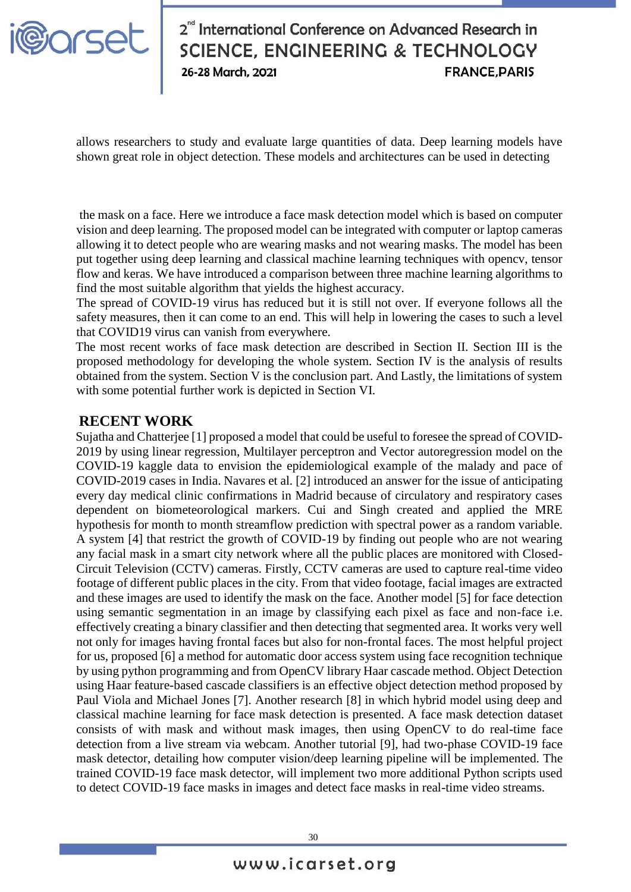

# 2<sup>nd</sup> International Conference on Advanced Research in **SCIENCE, ENGINEERING & TECHNOLOGY** 26-28 March, 2021 **FRANCE PARIS**

allows researchers to study and evaluate large quantities of data. Deep learning models have shown great role in object detection. These models and architectures can be used in detecting

the mask on a face. Here we introduce a face mask detection model which is based on computer vision and deep learning. The proposed model can be integrated with computer or laptop cameras allowing it to detect people who are wearing masks and not wearing masks. The model has been put together using deep learning and classical machine learning techniques with opencv, tensor flow and keras. We have introduced a comparison between three machine learning algorithms to find the most suitable algorithm that yields the highest accuracy.

The spread of COVID-19 virus has reduced but it is still not over. If everyone follows all the safety measures, then it can come to an end. This will help in lowering the cases to such a level that COVID19 virus can vanish from everywhere.

The most recent works of face mask detection are described in Section II. Section III is the proposed methodology for developing the whole system. Section IV is the analysis of results obtained from the system. Section V is the conclusion part. And Lastly, the limitations of system with some potential further work is depicted in Section VI.

### **RECENT WORK**

Sujatha and Chatterjee [1] proposed a model that could be useful to foresee the spread of COVID-2019 by using linear regression, Multilayer perceptron and Vector autoregression model on the COVID-19 kaggle data to envision the epidemiological example of the malady and pace of COVID-2019 cases in India. Navares et al. [2] introduced an answer for the issue of anticipating every day medical clinic confirmations in Madrid because of circulatory and respiratory cases dependent on biometeorological markers. Cui and Singh created and applied the MRE hypothesis for month to month streamflow prediction with spectral power as a random variable. A system [4] that restrict the growth of COVID-19 by finding out people who are not wearing any facial mask in a smart city network where all the public places are monitored with Closed-Circuit Television (CCTV) cameras. Firstly, CCTV cameras are used to capture real-time video footage of different public places in the city. From that video footage, facial images are extracted and these images are used to identify the mask on the face. Another model [5] for face detection using semantic segmentation in an image by classifying each pixel as face and non-face i.e. effectively creating a binary classifier and then detecting that segmented area. It works very well not only for images having frontal faces but also for non-frontal faces. The most helpful project for us, proposed [6] a method for automatic door access system using face recognition technique by using python programming and from OpenCV library Haar cascade method. Object Detection using Haar feature-based cascade classifiers is an effective object detection method proposed by Paul Viola and Michael Jones [7]. Another research [8] in which hybrid model using deep and classical machine learning for face mask detection is presented. A face mask detection dataset consists of with mask and without mask images, then using OpenCV to do real-time face detection from a live stream via webcam. Another tutorial [9], had two-phase COVID-19 face mask detector, detailing how computer vision/deep learning pipeline will be implemented. The trained COVID-19 face mask detector, will implement two more additional Python scripts used to detect COVID-19 face masks in images and detect face masks in real-time video streams.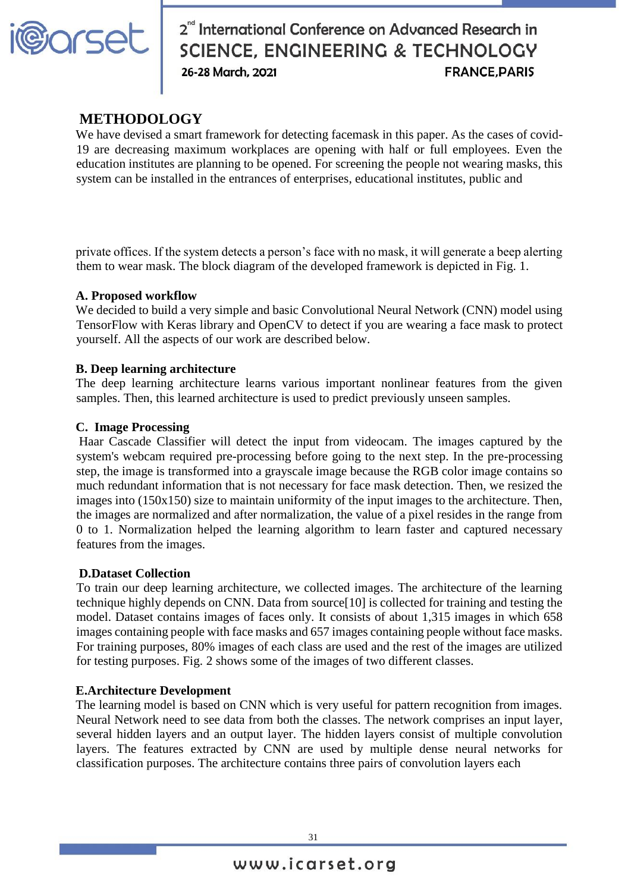

# 2<sup>nd</sup> International Conference on Advanced Research in<br>SCIENCE, ENGINEERING & TECHNOLOGY<br>26-28 March, 2021<br>FRANCE, PARIS

# **METHODOLOGY**

We have devised a smart framework for detecting facemask in this paper. As the cases of covid-19 are decreasing maximum workplaces are opening with half or full employees. Even the education institutes are planning to be opened. For screening the people not wearing masks, this system can be installed in the entrances of enterprises, educational institutes, public and

private offices. If the system detects a person's face with no mask, it will generate a beep alerting them to wear mask. The block diagram of the developed framework is depicted in Fig. 1.

#### **A. Proposed workflow**

We decided to build a very simple and basic Convolutional Neural Network (CNN) model using TensorFlow with Keras library and OpenCV to detect if you are wearing a face mask to protect yourself. All the aspects of our work are described below.

#### **B. Deep learning architecture**

The deep learning architecture learns various important nonlinear features from the given samples. Then, this learned architecture is used to predict previously unseen samples.

#### **C. Image Processing**

Haar Cascade Classifier will detect the input from videocam. The images captured by the system's webcam required pre-processing before going to the next step. In the pre-processing step, the image is transformed into a grayscale image because the RGB color image contains so much redundant information that is not necessary for face mask detection. Then, we resized the images into (150x150) size to maintain uniformity of the input images to the architecture. Then, the images are normalized and after normalization, the value of a pixel resides in the range from 0 to 1. Normalization helped the learning algorithm to learn faster and captured necessary features from the images.

#### **D.Dataset Collection**

To train our deep learning architecture, we collected images. The architecture of the learning technique highly depends on CNN. Data from source[10] is collected for training and testing the model. Dataset contains images of faces only. It consists of about 1,315 images in which 658 images containing people with face masks and 657 images containing people without face masks. For training purposes, 80% images of each class are used and the rest of the images are utilized for testing purposes. Fig. 2 shows some of the images of two different classes.

#### **E.Architecture Development**

The learning model is based on CNN which is very useful for pattern recognition from images. Neural Network need to see data from both the classes. The network comprises an input layer, several hidden layers and an output layer. The hidden layers consist of multiple convolution layers. The features extracted by CNN are used by multiple dense neural networks for classification purposes. The architecture contains three pairs of convolution layers each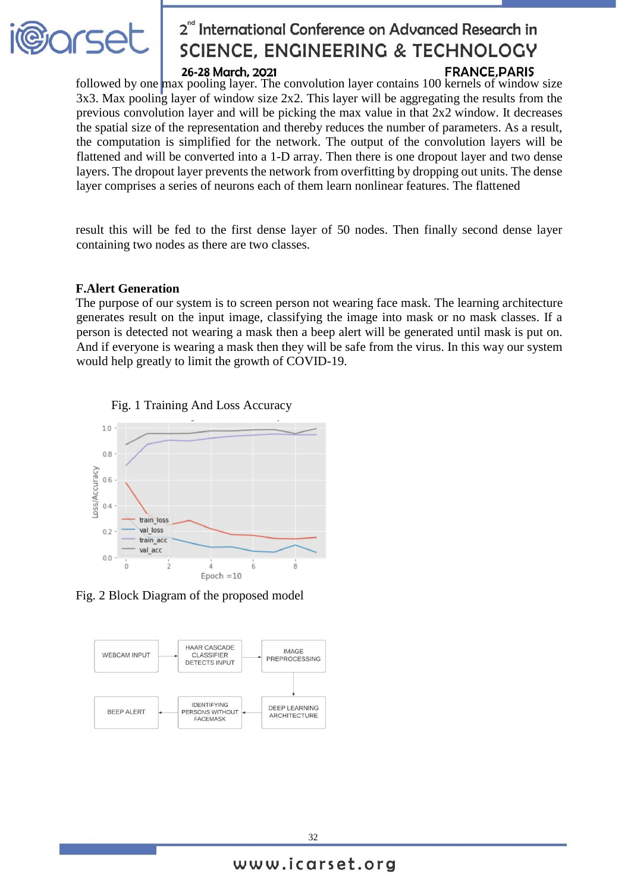

# 2<sup>nd</sup> International Conference on Advanced Research in **SCIENCE, ENGINEERING & TECHNOLOGY**

#### 26-28 March, 2021

## **FRANCE PARIS**

followed by one max pooling layer. The convolution layer contains 100 kernels of window size 3x3. Max pooling layer of window size 2x2. This layer will be aggregating the results from the previous convolution layer and will be picking the max value in that 2x2 window. It decreases the spatial size of the representation and thereby reduces the number of parameters. As a result, the computation is simplified for the network. The output of the convolution layers will be flattened and will be converted into a 1-D array. Then there is one dropout layer and two dense layers. The dropout layer prevents the network from overfitting by dropping out units. The dense layer comprises a series of neurons each of them learn nonlinear features. The flattened

result this will be fed to the first dense layer of 50 nodes. Then finally second dense layer containing two nodes as there are two classes.

#### **F.Alert Generation**

The purpose of our system is to screen person not wearing face mask. The learning architecture generates result on the input image, classifying the image into mask or no mask classes. If a person is detected not wearing a mask then a beep alert will be generated until mask is put on. And if everyone is wearing a mask then they will be safe from the virus. In this way our system would help greatly to limit the growth of COVID-19.





Fig. 2 Block Diagram of the proposed model

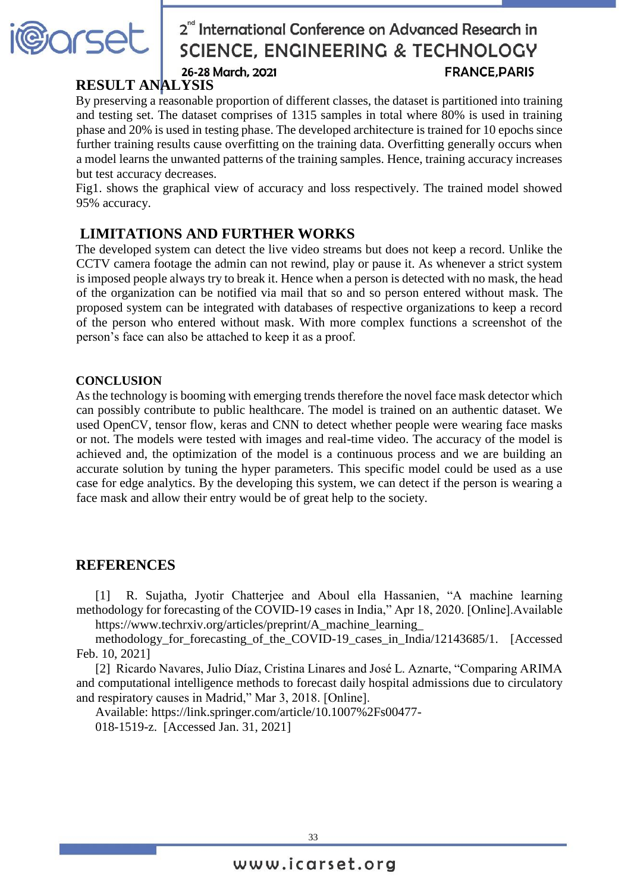

# 2<sup>nd</sup> International Conference on Advanced Research in **SCIENCE, ENGINEERING & TECHNOLOGY** 26-28 March, 2021 **FRANCE PARIS**

# **RESULT ANALYSIS**

By preserving a reasonable proportion of different classes, the dataset is partitioned into training and testing set. The dataset comprises of 1315 samples in total where 80% is used in training phase and 20% is used in testing phase. The developed architecture is trained for 10 epochs since further training results cause overfitting on the training data. Overfitting generally occurs when a model learns the unwanted patterns of the training samples. Hence, training accuracy increases but test accuracy decreases.

Fig1. shows the graphical view of accuracy and loss respectively. The trained model showed 95% accuracy.

# **LIMITATIONS AND FURTHER WORKS**

The developed system can detect the live video streams but does not keep a record. Unlike the CCTV camera footage the admin can not rewind, play or pause it. As whenever a strict system is imposed people always try to break it. Hence when a person is detected with no mask, the head of the organization can be notified via mail that so and so person entered without mask. The proposed system can be integrated with databases of respective organizations to keep a record of the person who entered without mask. With more complex functions a screenshot of the person's face can also be attached to keep it as a proof.

#### **CONCLUSION**

As the technology is booming with emerging trends therefore the novel face mask detector which can possibly contribute to public healthcare. The model is trained on an authentic dataset. We used OpenCV, tensor flow, keras and CNN to detect whether people were wearing face masks or not. The models were tested with images and real-time video. The accuracy of the model is achieved and, the optimization of the model is a continuous process and we are building an accurate solution by tuning the hyper parameters. This specific model could be used as a use case for edge analytics. By the developing this system, we can detect if the person is wearing a face mask and allow their entry would be of great help to the society.

## **REFERENCES**

[1] R. Sujatha, Jyotir Chatterjee and Aboul ella Hassanien, "A machine learning methodology for forecasting of the COVID-19 cases in India," Apr 18, 2020. [Online].Available https://www.techrxiv.org/articles/preprint/A\_machine\_learning\_

methodology\_for\_forecasting\_of\_the\_COVID-19\_cases\_in\_India/12143685/1. [Accessed Feb. 10, 2021]

[2] Ricardo Navares, Julio Díaz, Cristina Linares and José L. Aznarte, "Comparing ARIMA and computational intelligence methods to forecast daily hospital admissions due to circulatory and respiratory causes in Madrid," Mar 3, 2018. [Online].

Available: https://link.springer.com/article/10.1007%2Fs00477-

018-1519-z. [Accessed Jan. 31, 2021]